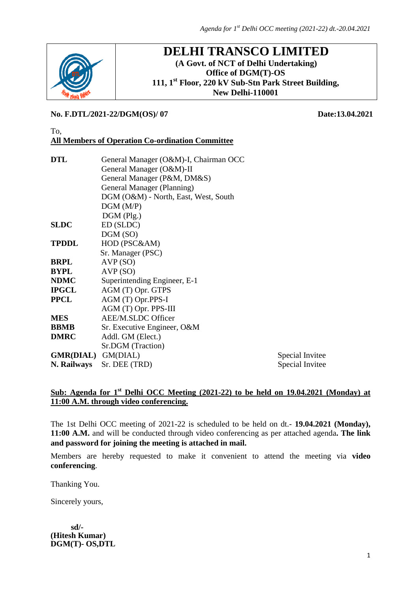

# **DELHI TRANSCO LIMITED (A Govt. of NCT of Delhi Undertaking) Office of DGM(T)-OS 111, 1st Floor, 220 kV Sub-Stn Park Street Building,**

**New Delhi-110001**

#### **No. F.DTL/2021-22/DGM(OS)/ 07 Date:13.04.2021**

#### To, **All Members of Operation Co-ordination Committee**

| DTL<br>General Manager (O&M)-I, Chairman OCC |                                      |                 |
|----------------------------------------------|--------------------------------------|-----------------|
|                                              | General Manager (O&M)-II             |                 |
|                                              | General Manager (P&M, DM&S)          |                 |
|                                              | General Manager (Planning)           |                 |
|                                              | DGM (O&M) - North, East, West, South |                 |
|                                              | DGM(M/P)                             |                 |
|                                              | $DGM$ (Plg.)                         |                 |
| SLDC                                         | ED (SLDC)                            |                 |
|                                              | DGM(SO)                              |                 |
| TPDDL                                        | HOD (PSC&AM)                         |                 |
|                                              | Sr. Manager (PSC)                    |                 |
| BRPL                                         | AVP(SO)                              |                 |
| BYPL                                         | AVP(SO)                              |                 |
| NDMC                                         | Superintending Engineer, E-1         |                 |
| IPGCL                                        | AGM (T) Opr. GTPS                    |                 |
| PPCL                                         | AGM (T) Opr.PPS-I                    |                 |
|                                              | AGM (T) Opr. PPS-III                 |                 |
| MES                                          | AEE/M.SLDC Officer                   |                 |
| BBMB                                         | Sr. Executive Engineer, O&M          |                 |
| <b>DMRC</b>                                  | Addl. GM (Elect.)                    |                 |
|                                              | Sr.DGM (Traction)                    |                 |
| GMR(DIAL) GM(DIAL)                           |                                      | Special Invitee |
| N. Railways                                  | Sr. DEE (TRD)                        | Special Invitee |
|                                              |                                      |                 |

# **Sub: Agenda for 1st Delhi OCC Meeting (2021-22) to be held on 19.04.2021 (Monday) at 11:00 A.M. through video conferencing.**

The 1st Delhi OCC meeting of 2021-22 is scheduled to be held on dt.- **19.04.2021 (Monday), 11:00 A.M.** and will be conducted through video conferencing as per attached agenda**. The link and password for joining the meeting is attached in mail.**

Members are hereby requested to make it convenient to attend the meeting via **video conferencing**.

Thanking You.

Sincerely yours,

 **sd/- (Hitesh Kumar) DGM(T)- OS,DTL**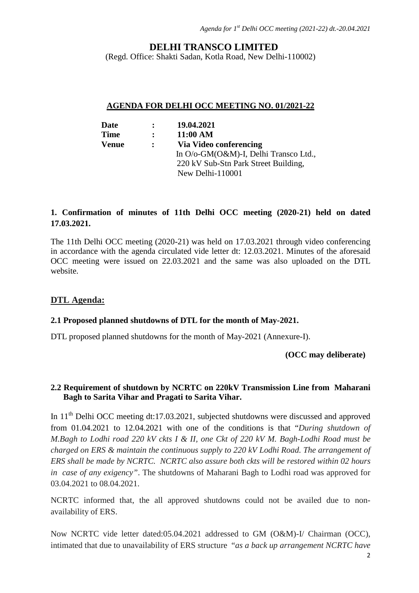# **DELHI TRANSCO LIMITED**

(Regd. Office: Shakti Sadan, Kotla Road, New Delhi-110002)

#### **AGENDA FOR DELHI OCC MEETING NO. 01/2021-22**

| Date         | $\mathbf{r}$         | 19.04.2021                            |
|--------------|----------------------|---------------------------------------|
| <b>Time</b>  | $\ddot{\phantom{1}}$ | 11:00 AM                              |
| <b>Venue</b> | $\mathbf{L}$         | Via Video conferencing                |
|              |                      | In O/o-GM(O&M)-I, Delhi Transco Ltd., |
|              |                      | 220 kV Sub-Stn Park Street Building,  |
|              |                      | New Delhi-110001                      |

# **1. Confirmation of minutes of 11th Delhi OCC meeting (2020-21) held on dated 17.03.2021.**

The 11th Delhi OCC meeting (2020-21) was held on 17.03.2021 through video conferencing in accordance with the agenda circulated vide letter dt: 12.03.2021. Minutes of the aforesaid OCC meeting were issued on 22.03.2021 and the same was also uploaded on the DTL website.

### **DTL Agenda:**

#### **2.1 Proposed planned shutdowns of DTL for the month of May-2021.**

DTL proposed planned shutdowns for the month of May-2021 (Annexure-I).

#### **(OCC may deliberate)**

#### **2.2 Requirement of shutdown by NCRTC on 220kV Transmission Line from Maharani Bagh to Sarita Vihar and Pragati to Sarita Vihar.**

In 11<sup>th</sup> Delhi OCC meeting dt:17.03.2021, subjected shutdowns were discussed and approved from 01.04.2021 to 12.04.2021 with one of the conditions is that "*During shutdown of M.Bagh to Lodhi road 220 kV ckts I & II, one Ckt of 220 kV M. Bagh-Lodhi Road must be charged on ERS & maintain the continuous supply to 220 kV Lodhi Road. The arrangement of ERS shall be made by NCRTC. NCRTC also assure both ckts will be restored within 02 hours in case of any exigency"*. The shutdowns of Maharani Bagh to Lodhi road was approved for 03.04.2021 to 08.04.2021.

NCRTC informed that, the all approved shutdowns could not be availed due to nonavailability of ERS.

Now NCRTC vide letter dated:05.04.2021 addressed to GM (O&M)-I/ Chairman (OCC), intimated that due to unavailability of ERS structure "*as a back up arrangement NCRTC have*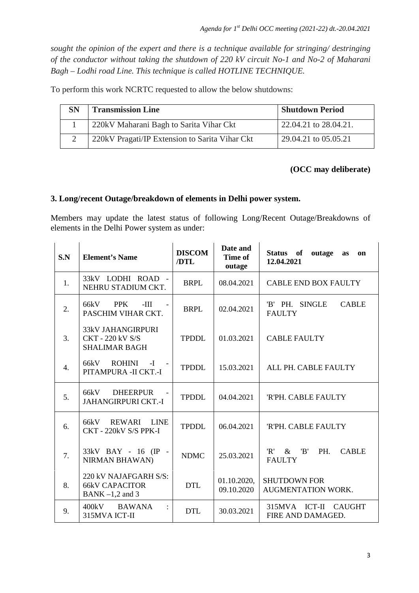*sought the opinion of the expert and there is a technique available for stringing/ destringing of the conductor without taking the shutdown of 220 kV circuit No-1 and No-2 of Maharani Bagh – Lodhi road Line. This technique is called HOTLINE TECHNIQUE.*

To perform this work NCRTC requested to allow the below shutdowns:

| <b>SN</b> | <b>Transmission Line</b>                       | <b>Shutdown Period</b> |
|-----------|------------------------------------------------|------------------------|
|           | 220kV Maharani Bagh to Sarita Vihar Ckt        | 22.04.21 to 28.04.21.  |
|           | 220kV Pragati/IP Extension to Sarita Vihar Ckt | 29.04.21 to 05.05.21   |

#### **(OCC may deliberate)**

#### **3. Long/recent Outage/breakdown of elements in Delhi power system.**

Members may update the latest status of following Long/Recent Outage/Breakdowns of elements in the Delhi Power system as under:

| S.N | <b>Element's Name</b>                                                       | <b>DISCOM</b><br>/DTL | Date and<br>Time of<br>outage | Status of<br>outage<br>on<br><b>as</b><br>12.04.2021       |
|-----|-----------------------------------------------------------------------------|-----------------------|-------------------------------|------------------------------------------------------------|
| 1.  | 33kV LODHI ROAD -<br>NEHRU STADIUM CKT.                                     | <b>BRPL</b>           | 08.04.2021                    | <b>CABLE END BOX FAULTY</b>                                |
| 2.  | 66kV<br><b>PPK</b><br>$-HI$<br>PASCHIM VIHAR CKT.                           | <b>BRPL</b>           | 02.04.2021                    | 'B' PH. SINGLE<br><b>CABLE</b><br><b>FAULTY</b>            |
| 3.  | <b>33kV JAHANGIRPURI</b><br><b>CKT - 220 kV S/S</b><br><b>SHALIMAR BAGH</b> | <b>TPDDL</b>          | 01.03.2021                    | <b>CABLE FAULTY</b>                                        |
| 4.  | 66kV ROHINI -I<br>PITAMPURA - II CKT.-I                                     | <b>TPDDL</b>          | 15.03.2021                    | ALL PH. CABLE FAULTY                                       |
| 5.  | 66kV DHEERPUR<br><b>JAHANGIRPURI CKT.-I</b>                                 | <b>TPDDL</b>          | 04.04.2021                    | <b>RPH. CABLE FAULTY</b>                                   |
| 6.  | <b>REWARI</b><br><b>LINE</b><br>66kV<br>CKT - 220kV S/S PPK-I               | <b>TPDDL</b>          | 06.04.2021                    | 'R'PH. CABLE FAULTY                                        |
| 7.  | 33kV BAY - 16 (IP -<br><b>NIRMAN BHAWAN)</b>                                | <b>NDMC</b>           | 25.03.2021                    | 'R'<br>'B'<br>PH.<br>$\&$<br><b>CABLE</b><br><b>FAULTY</b> |
| 8.  | 220 kV NAJAFGARH S/S:<br><b>66kV CAPACITOR</b><br>BANK $-1,2$ and 3         | <b>DTL</b>            | 01.10.2020,<br>09.10.2020     | <b>SHUTDOWN FOR</b><br>AUGMENTATION WORK.                  |
| 9.  | 400kV BAWANA<br>315MVA ICT-II                                               | <b>DTL</b>            | 30.03.2021                    | 315MVA ICT-II CAUGHT<br>FIRE AND DAMAGED.                  |